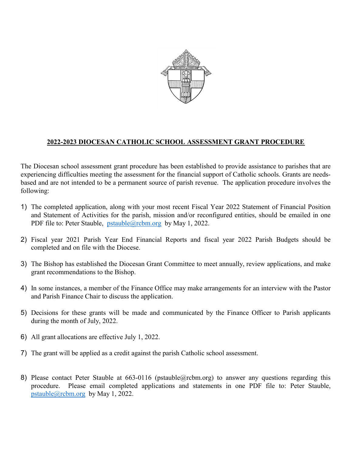

## 2022-2023 DIOCESAN CATHOLIC SCHOOL ASSESSMENT GRANT PROCEDURE

The Diocesan school assessment grant procedure has been established to provide assistance to parishes that are experiencing difficulties meeting the assessment for the financial support of Catholic schools. Grants are needsbased and are not intended to be a permanent source of parish revenue. The application procedure involves the following:

- 1) The completed application, along with your most recent Fiscal Year 2022 Statement of Financial Position and Statement of Activities for the parish, mission and/or reconfigured entities, should be emailed in one PDF file to: Peter Stauble, pstauble@rcbm.org by May 1, 2022.
- 2) Fiscal year 2021 Parish Year End Financial Reports and fiscal year 2022 Parish Budgets should be completed and on file with the Diocese.
- 3) The Bishop has established the Diocesan Grant Committee to meet annually, review applications, and make grant recommendations to the Bishop.
- 4) In some instances, a member of the Finance Office may make arrangements for an interview with the Pastor and Parish Finance Chair to discuss the application.
- 5) Decisions for these grants will be made and communicated by the Finance Officer to Parish applicants during the month of July, 2022.
- 6) All grant allocations are effective July 1, 2022.
- 7) The grant will be applied as a credit against the parish Catholic school assessment.
- 8) Please contact Peter Stauble at 663-0116 (pstauble@rcbm.org) to answer any questions regarding this procedure. Please email completed applications and statements in one PDF file to: Peter Stauble, pstauble@rcbm.org by May 1, 2022.